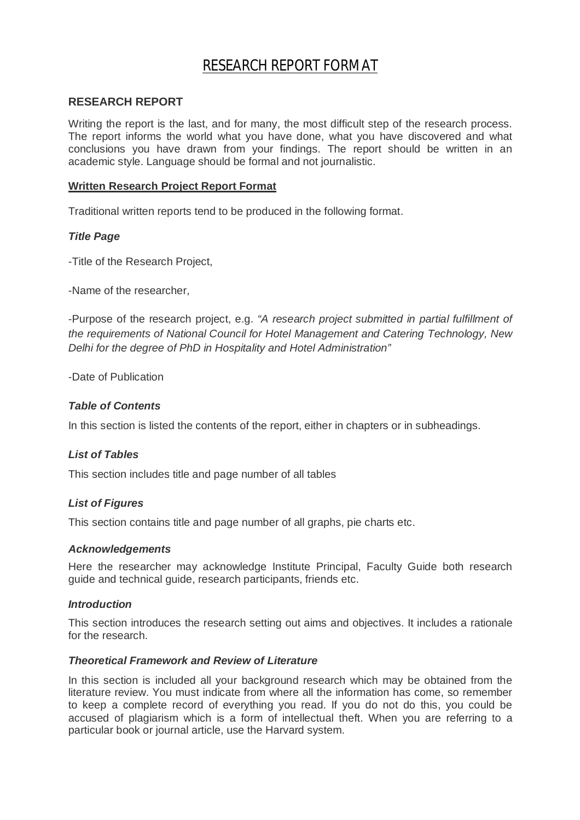# RESEARCH REPORT FORMAT

#### **RESEARCH REPORT**

Writing the report is the last, and for many, the most difficult step of the research process. The report informs the world what you have done, what you have discovered and what conclusions you have drawn from your findings. The report should be written in an academic style. Language should be formal and not journalistic.

# **Written Research Project Report Format**

Traditional written reports tend to be produced in the following format.

# *Title Page*

-Title of the Research Project,

-Name of the researcher,

-Purpose of the research project, e.g. *"A research project submitted in partial fulfillment of the requirements of National Council for Hotel Management and Catering Technology, New Delhi for the degree of PhD in Hospitality and Hotel Administration"*

-Date of Publication

# *Table of Contents*

In this section is listed the contents of the report, either in chapters or in subheadings.

# *List of Tables*

This section includes title and page number of all tables

#### *List of Figures*

This section contains title and page number of all graphs, pie charts etc.

#### *Acknowledgements*

Here the researcher may acknowledge Institute Principal, Faculty Guide both research guide and technical guide, research participants, friends etc.

#### *Introduction*

This section introduces the research setting out aims and objectives. It includes a rationale for the research.

#### *Theoretical Framework and Review of Literature*

In this section is included all your background research which may be obtained from the literature review. You must indicate from where all the information has come, so remember to keep a complete record of everything you read. If you do not do this, you could be accused of plagiarism which is a form of intellectual theft. When you are referring to a particular book or journal article, use the Harvard system.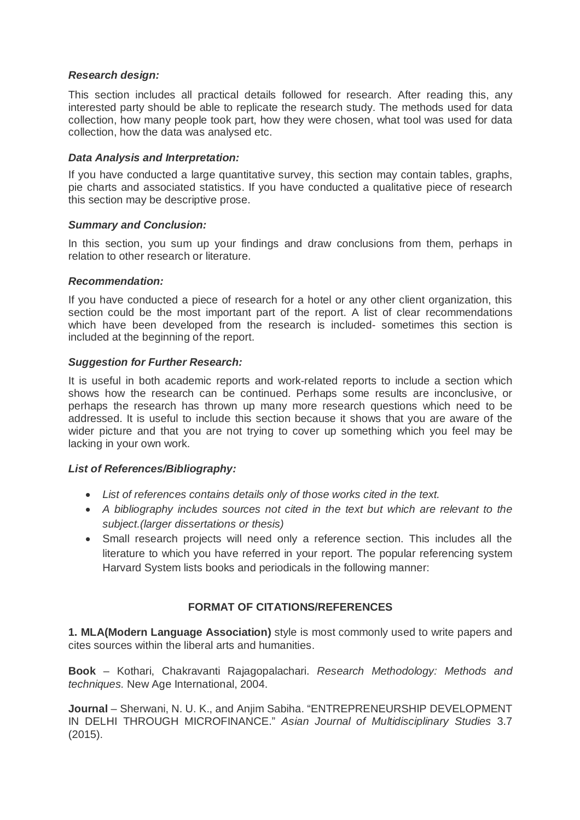# *Research design:*

This section includes all practical details followed for research. After reading this, any interested party should be able to replicate the research study. The methods used for data collection, how many people took part, how they were chosen, what tool was used for data collection, how the data was analysed etc.

#### *Data Analysis and Interpretation:*

If you have conducted a large quantitative survey, this section may contain tables, graphs, pie charts and associated statistics. If you have conducted a qualitative piece of research this section may be descriptive prose.

# *Summary and Conclusion:*

In this section, you sum up your findings and draw conclusions from them, perhaps in relation to other research or literature.

#### *Recommendation:*

If you have conducted a piece of research for a hotel or any other client organization, this section could be the most important part of the report. A list of clear recommendations which have been developed from the research is included- sometimes this section is included at the beginning of the report.

# *Suggestion for Further Research:*

It is useful in both academic reports and work-related reports to include a section which shows how the research can be continued. Perhaps some results are inconclusive, or perhaps the research has thrown up many more research questions which need to be addressed. It is useful to include this section because it shows that you are aware of the wider picture and that you are not trying to cover up something which you feel may be lacking in your own work.

# *List of References/Bibliography:*

- *List of references contains details only of those works cited in the text.*
- *A bibliography includes sources not cited in the text but which are relevant to the subject.(larger dissertations or thesis)*
- Small research projects will need only a reference section. This includes all the literature to which you have referred in your report. The popular referencing system Harvard System lists books and periodicals in the following manner:

# **FORMAT OF CITATIONS/REFERENCES**

**1. MLA(Modern Language Association)** style is most commonly used to write papers and cites sources within the liberal arts and humanities.

**Book** – Kothari, Chakravanti Rajagopalachari. *Research Methodology: Methods and techniques.* New Age International, 2004.

**Journal** – Sherwani, N. U. K., and Anjim Sabiha. "ENTREPRENEURSHIP DEVELOPMENT IN DELHI THROUGH MICROFINANCE." *Asian Journal of Multidisciplinary Studies* 3.7 (2015).